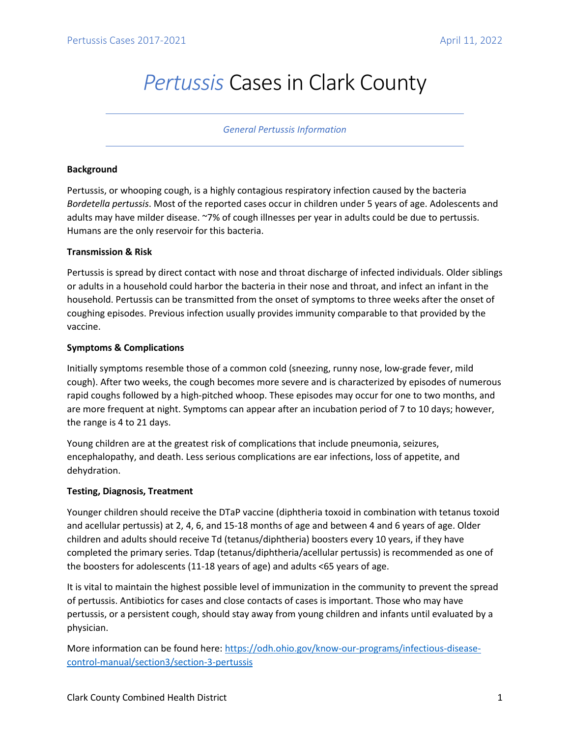# *Pertussis* Cases in Clark County

#### *General Pertussis Information*

## **Background**

Pertussis, or whooping cough, is a highly contagious respiratory infection caused by the bacteria *Bordetella pertussis*. Most of the reported cases occur in children under 5 years of age. Adolescents and adults may have milder disease. ~7% of cough illnesses per year in adults could be due to pertussis. Humans are the only reservoir for this bacteria.

#### **Transmission & Risk**

Pertussis is spread by direct contact with nose and throat discharge of infected individuals. Older siblings or adults in a household could harbor the bacteria in their nose and throat, and infect an infant in the household. Pertussis can be transmitted from the onset of symptoms to three weeks after the onset of coughing episodes. Previous infection usually provides immunity comparable to that provided by the vaccine.

## **Symptoms & Complications**

Initially symptoms resemble those of a common cold (sneezing, runny nose, low-grade fever, mild cough). After two weeks, the cough becomes more severe and is characterized by episodes of numerous rapid coughs followed by a high-pitched whoop. These episodes may occur for one to two months, and are more frequent at night. Symptoms can appear after an incubation period of 7 to 10 days; however, the range is 4 to 21 days.

Young children are at the greatest risk of complications that include pneumonia, seizures, encephalopathy, and death. Less serious complications are ear infections, loss of appetite, and dehydration.

## **Testing, Diagnosis, Treatment**

Younger children should receive the DTaP vaccine (diphtheria toxoid in combination with tetanus toxoid and acellular pertussis) at 2, 4, 6, and 15-18 months of age and between 4 and 6 years of age. Older children and adults should receive Td (tetanus/diphtheria) boosters every 10 years, if they have completed the primary series. Tdap (tetanus/diphtheria/acellular pertussis) is recommended as one of the boosters for adolescents (11-18 years of age) and adults <65 years of age.

It is vital to maintain the highest possible level of immunization in the community to prevent the spread of pertussis. Antibiotics for cases and close contacts of cases is important. Those who may have pertussis, or a persistent cough, should stay away from young children and infants until evaluated by a physician.

More information can be found here[: https://odh.ohio.gov/know-our-programs/infectious-disease](https://odh.ohio.gov/know-our-programs/infectious-disease-control-manual/section3/section-3-pertussis)[control-manual/section3/section-3-pertussis](https://odh.ohio.gov/know-our-programs/infectious-disease-control-manual/section3/section-3-pertussis)